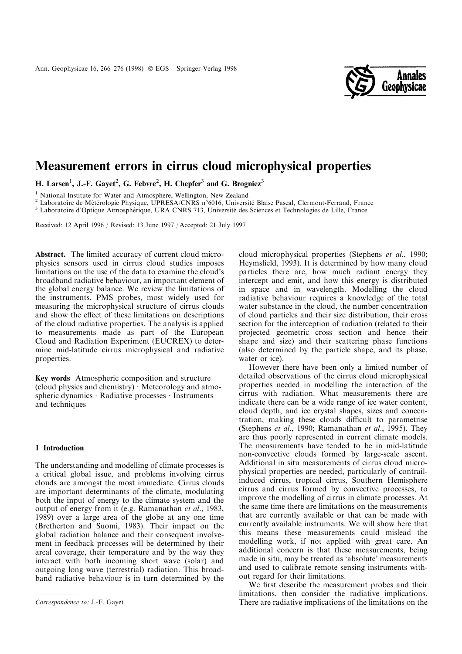

# Measurement errors in cirrus cloud microphysical properties

H. Larsen<sup>1</sup>, J.-F. Gayet<sup>2</sup>, G. Febvre<sup>2</sup>, H. Chepfer<sup>3</sup> and G. Brogniez<sup>3</sup>

<sup>1</sup> National Institute for Water and Atmosphere, Wellington, New Zealand<br>
<sup>2</sup> Laboratoire de Métérologie Physique, UPRESA/CNRS n°6016, Université Blaise Pascal, Clermont-Ferrand, France<br>
<sup>3</sup> Laboratoire d'Optique Atmosphé

Received: 12 April 1996 / Revised: 13 June 1997 / Accepted: 21 July 1997

Abstract. The limited accuracy of current cloud microphysics sensors used in cirrus cloud studies imposes limitations on the use of the data to examine the cloud's broadband radiative behaviour, an important element of the global energy balance. We review the limitations of the instruments, PMS probes, most widely used for measuring the microphysical structure of cirrus clouds and show the effect of these limitations on descriptions of the cloud radiative properties. The analysis is applied to measurements made as part of the European Cloud and Radiation Experiment (EUCREX) to determine mid-latitude cirrus microphysical and radiative properties.

Key words Atmospheric composition and structure (cloud physics and chemistry)  $\cdot$  Meteorology and atmospheric dynamics  $\cdot$  Radiative processes  $\cdot$  Instruments and techniques

#### 1 Introduction

The understanding and modelling of climate processes is a critical global issue, and problems involving cirrus clouds are amongst the most immediate. Cirrus clouds are important determinants of the climate, modulating both the input of energy to the climate system and the output of energy from it (e.g. Ramanathan et al., 1983, 1989) over a large area of the globe at any one time (Bretherton and Suomi, 1983). Their impact on the global radiation balance and their consequent involvement in feedback processes will be determined by their areal coverage, their temperature and by the way they interact with both incoming short wave (solar) and outgoing long wave (terrestrial) radiation. This broadband radiative behaviour is in turn determined by the cloud microphysical properties (Stephens et al., 1990; Heymsfield, 1993). It is determined by how many cloud particles there are, how much radiant energy they intercept and emit, and how this energy is distributed in space and in wavelength. Modelling the cloud radiative behaviour requires a knowledge of the total water substance in the cloud, the number concentration of cloud particles and their size distribution, their cross section for the interception of radiation (related to their projected geometric cross section and hence their shape and size) and their scattering phase functions (also determined by the particle shape, and its phase, water or ice).

However there have been only a limited number of detailed observations of the cirrus cloud microphysical properties needed in modelling the interaction of the cirrus with radiation. What measurements there are indicate there can be a wide range of ice water content, cloud depth, and ice crystal shapes, sizes and concentration, making these clouds difficult to parametrise (Stephens et al., 1990; Ramanathan et al., 1995). They are thus poorly represented in current climate models. The measurements have tended to be in mid-latitude non-convective clouds formed by large-scale ascent. Additional in situ measurements of cirrus cloud microphysical properties are needed, particularly of contrailinduced cirrus, tropical cirrus, Southern Hemisphere cirrus and cirrus formed by convective processes, to improve the modelling of cirrus in climate processes. At the same time there are limitations on the measurements that are currently available or that can be made with currently available instruments. We will show here that this means these measurements could mislead the modelling work, if not applied with great care. An additional concern is that these measurements, being made in situ, may be treated as 'absolute' measurements and used to calibrate remote sensing instruments without regard for their limitations.

We first describe the measurement probes and their limitations, then consider the radiative implications. Correspondence to: J.-F. Gayet There are radiative implications of the limitations on the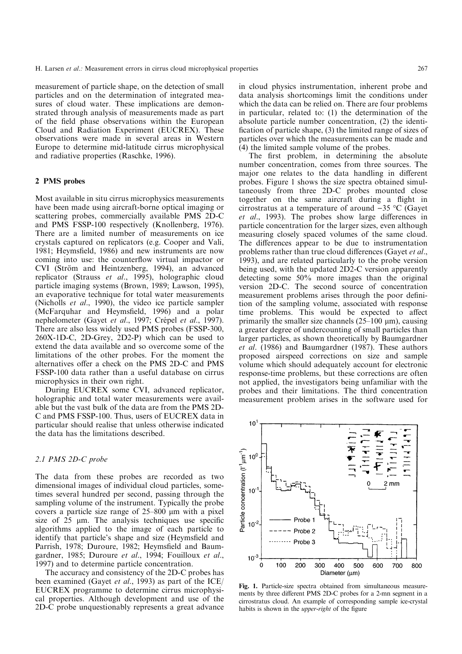measurement of particle shape, on the detection of small particles and on the determination of integrated measures of cloud water. These implications are demonstrated through analysis of measurements made as part of the field phase observations within the European Cloud and Radiation Experiment (EUCREX). These observations were made in several areas in Western Europe to determine mid-latitude cirrus microphysical and radiative properties (Raschke, 1996).

#### 2 PMS probes

Most available in situ cirrus microphysics measurements have been made using aircraft-borne optical imaging or scattering probes, commercially available PMS 2D-C and PMS FSSP-100 respectively (Knollenberg, 1976). There are a limited number of measurements on ice crystals captured on replicators (e.g. Cooper and Vali, 1981; Heymsfield, 1986) and new instruments are now coming into use: the counterflow virtual impactor or CVI (Ström and Heintzenberg, 1994), an advanced replicator (Strauss et al., 1995), holographic cloud particle imaging systems (Brown, 1989; Lawson, 1995), an evaporative technique for total water measurements (Nicholls et al., 1990), the video ice particle sampler (McFarquhar and Heymsfield, 1996) and a polar nephelometer (Gayet et al., 1997; Crépel et al., 1997). There are also less widely used PMS probes (FSSP-300, 260X-1D-C, 2D-Grey, 2D2-P) which can be used to extend the data available and so overcome some of the limitations of the other probes. For the moment the alternatives offer a check on the PMS 2D-C and PMS FSSP-100 data rather than a useful database on cirrus microphysics in their own right.

During EUCREX some CVI, advanced replicator, holographic and total water measurements were available but the vast bulk of the data are from the PMS 2D-C and PMS FSSP-100. Thus, users of EUCREX data in particular should realise that unless otherwise indicated the data has the limitations described.

#### 2.1 PMS 2D-C probe

The data from these probes are recorded as two dimensional images of individual cloud particles, sometimes several hundred per second, passing through the sampling volume of the instrument. Typically the probe covers a particle size range of  $25-800 \mu m$  with a pixel size of  $25 \mu m$ . The analysis techniques use specific algorithms applied to the image of each particle to identify that particle's shape and size (Heymsfield and Parrish, 1978; Duroure, 1982; Heymsfield and Baumgardner, 1985; Duroure et al., 1994; Fouilloux et al., 1997) and to determine particle concentration.

The accuracy and consistency of the 2D-C probes has been examined (Gayet *et al.*, 1993) as part of the ICE/ EUCREX programme to determine cirrus microphysical properties. Although development and use of the 2D-C probe unquestionably represents a great advance

in cloud physics instrumentation, inherent probe and data analysis shortcomings limit the conditions under which the data can be relied on. There are four problems in particular, related to: (1) the determination of the absolute particle number concentration, (2) the identi fication of particle shape, (3) the limited range of sizes of particles over which the measurements can be made and (4) the limited sample volume of the probes.

The first problem, in determining the absolute number concentration, comes from three sources. The major one relates to the data handling in different probes. Figure 1 shows the size spectra obtained simultaneously from three 2D-C probes mounted close together on the same aircraft during a flight in cirrostratus at a temperature of around  $-35$  °C (Gayet et al., 1993). The probes show large differences in particle concentration for the larger sizes, even although measuring closely spaced volumes of the same cloud. The differences appear to be due to instrumentation problems rather than true cloud differences (Gayet et al., 1993), and are related particularly to the probe version being used, with the updated 2D2-C version apparently detecting some 50% more images than the original version 2D-C. The second source of concentration measurement problems arises through the poor definition of the sampling volume, associated with response time problems. This would be expected to affect primarily the smaller size channels  $(25-100 \mu m)$ , causing a greater degree of undercounting of small particles than larger particles, as shown theoretically by Baumgardner et al. (1986) and Baumgardner (1987). These authors proposed airspeed corrections on size and sample volume which should adequately account for electronic response-time problems, but these corrections are often not applied, the investigators being unfamiliar with the probes and their limitations. The third concentration measurement problem arises in the software used for



Fig. 1. Particle-size spectra obtained from simultaneous measurements by three different PMS 2D-C probes for a 2-mn segment in a cirrostratus cloud. An example of corresponding sample ice-crystal habits is shown in the *upper-right* of the figure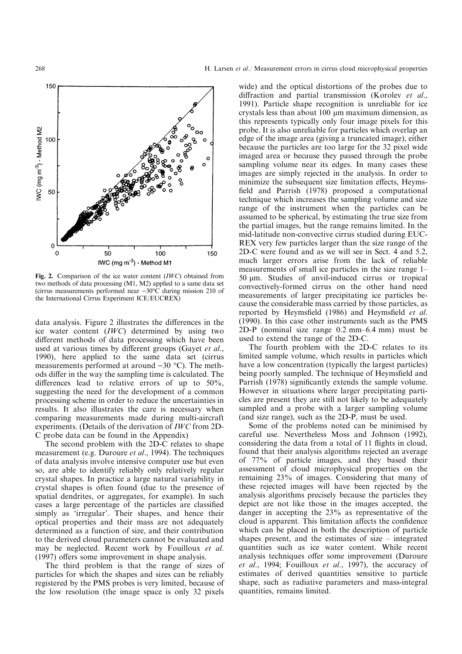

Fig. 2. Comparison of the ice water content (IWC) obtained from two methods of data processing (M1, M2) applied to a same data set (cirrus measurements performed near  $-30^{\circ}$ C during mission 210 of the International Cirrus Experiment ICE/EUCREX)

data analysis. Figure 2 illustrates the differences in the ice water content (IWC) determined by using two different methods of data processing which have been used at various times by different groups (Gayet et al., 1990), here applied to the same data set (cirrus measurements performed at around  $-30$  °C). The methods differ in the way the sampling time is calculated. The differences lead to relative errors of up to  $50\%$ , suggesting the need for the development of a common processing scheme in order to reduce the uncertainties in results. It also illustrates the care is necessary when comparing measurements made during multi-aircraft experiments. (Details of the derivation of IWC from 2D-C probe data can be found in the Appendix)

The second problem with the 2D-C relates to shape measurement (e.g. Duroure et al., 1994). The techniques of data analysis involve intensive computer use but even so, are able to identify reliably only relatively regular crystal shapes. In practice a large natural variability in crystal shapes is often found (due to the presence of spatial dendrites, or aggregates, for example). In such cases a large percentage of the particles are classified simply as 'irregular'. Their shapes, and hence their optical properties and their mass are not adequately determined as a function of size, and their contribution to the derived cloud parameters cannot be evaluated and may be neglected. Recent work by Fouilloux et al.  $(1997)$  offers some improvement in shape analysis.

The third problem is that the range of sizes of particles for which the shapes and sizes can be reliably registered by the PMS probes is very limited, because of the low resolution (the image space is only 32 pixels wide) and the optical distortions of the probes due to diffraction and partial transmission (Korolev  $et$   $al$ . 1991). Particle shape recognition is unreliable for ice crystals less than about  $100 \mu m$  maximum dimension, as this represents typically only four image pixels for this probe. It is also unreliable for particles which overlap an edge of the image area (giving a truncated image), either because the particles are too large for the 32 pixel wide imaged area or because they passed through the probe sampling volume near its edges. In many cases these images are simply rejected in the analysis. In order to minimize the subsequent size limitation effects, Heymsfield and Parrish (1978) proposed a computational technique which increases the sampling volume and size range of the instrument when the particles can be assumed to be spherical, by estimating the true size from the partial images, but the range remains limited. In the mid-latitude non-convective cirrus studied during EUC-REX very few particles larger than the size range of the 2D-C were found and as we will see in Sect. 4 and 5.2, much larger errors arise from the lack of reliable measurements of small ice particles in the size range  $1-$ 50 lm. Studies of anvil-induced cirrus or tropical convectively-formed cirrus on the other hand need measurements of larger precipitating ice particles because the considerable mass carried by those particles, as reported by Heymsfield (1986) and Heymsfield et al. (1990). In this case other instruments such as the PMS 2D-P (nominal size range  $0.2$  mm $-6.4$  mm) must be used to extend the range of the 2D-C.

The fourth problem with the 2D-C relates to its limited sample volume, which results in particles which have a low concentration (typically the largest particles) being poorly sampled. The technique of Heymsfield and Parrish (1978) significantly extends the sample volume. However in situations where larger precipitating particles are present they are still not likely to be adequately sampled and a probe with a larger sampling volume (and size range), such as the 2D-P, must be used.

Some of the problems noted can be minimised by careful use. Nevertheless Moss and Johnson (1992), considering the data from a total of 11 flights in cloud, found that their analysis algorithms rejected an average of 77% of particle images, and they based their assessment of cloud microphysical properties on the remaining 23% of images. Considering that many of these rejected images will have been rejected by the analysis algorithms precisely because the particles they depict are not like those in the images accepted, the danger in accepting the 23% as representative of the cloud is apparent. This limitation affects the confidence which can be placed in both the description of particle shapes present, and the estimates of size  $-\text{integrated}$ quantities such as ice water content. While recent analysis techniques offer some improvement (Duroure et al., 1994; Fouilloux et al., 1997), the accuracy of estimates of derived quantities sensitive to particle shape, such as radiative parameters and mass-integral quantities, remains limited.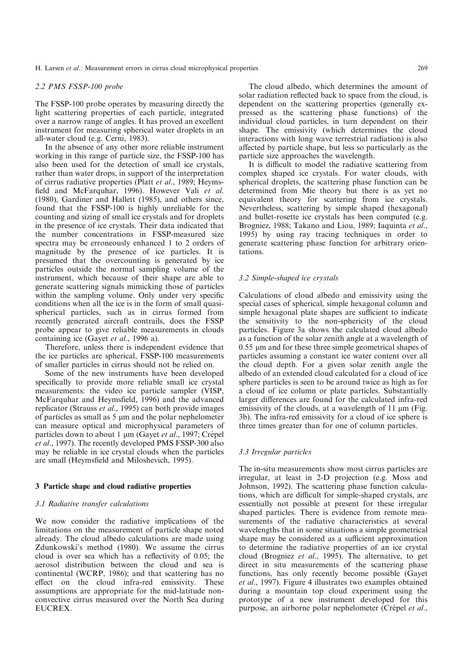H. Larsen *et al.*: Measurement errors in cirrus cloud microphysical properties 269

#### 2.2 PMS FSSP-100 probe

The FSSP-100 probe operates by measuring directly the light scattering properties of each particle, integrated over a narrow range of angles. It has proved an excellent instrument for measuring spherical water droplets in an all-water cloud (e.g. Cerni, 1983).

In the absence of any other more reliable instrument working in this range of particle size, the FSSP-100 has also been used for the detection of small ice crystals, rather than water drops, in support of the interpretation of cirrus radiative properties (Platt et al., 1989; Heymsfield and McFarquhar, 1996). However Vali et al. (1980), Gardiner and Hallett (1985), and others since, found that the FSSP-100 is highly unreliable for the counting and sizing of small ice crystals and for droplets in the presence of ice crystals. Their data indicated that the number concentrations in FSSP-measured size spectra may be erroneously enhanced 1 to 2 orders of magnitude by the presence of ice particles. It is presumed that the overcounting is generated by ice particles outside the normal sampling volume of the instrument, which because of their shape are able to generate scattering signals mimicking those of particles within the sampling volume. Only under very specific conditions when all the ice is in the form of small quasispherical particles, such as in cirrus formed from recently generated aircraft contrails, does the FSSP probe appear to give reliable measurements in clouds containing ice (Gayet et al., 1996 a).

Therefore, unless there is independent evidence that the ice particles are spherical, FSSP-100 measurements of smaller particles in cirrus should not be relied on.

Some of the new instruments have been developed specifically to provide more reliable small ice crystal measurements: the video ice particle sampler (VISP, McFarquhar and Heymsfield, 1996) and the advanced replicator (Strauss et al., 1995) can both provide images of particles as small as  $5 \mu m$  and the polar nephelometer can measure optical and microphysical parameters of particles down to about 1 µm (Gayet et al., 1997; Crépel et al., 1997). The recently developed PMS FSSP-300 also may be reliable in ice crystal clouds when the particles are small (Heymsfield and Miloshevich, 1995).

### 3 Particle shape and cloud radiative properties

#### 3.1 Radiative transfer calculations

We now consider the radiative implications of the limitations on the measurement of particle shape noted already. The cloud albedo calculations are made using Zdunkowski's method (1980). We assume the cirrus cloud is over sea which has a reflectivity of  $0.05$ ; the aerosol distribution between the cloud and sea is continental (WCRP, 1986); and that scattering has no effect on the cloud infra-red emissivity. These assumptions are appropriate for the mid-latitude nonconvective cirrus measured over the North Sea during EUCREX.

The cloud albedo, which determines the amount of solar radiation reflected back to space from the cloud, is dependent on the scattering properties (generally expressed as the scattering phase functions) of the individual cloud particles, in turn dependent on their shape. The emissivity (which determines the cloud interactions with long wave terrestrial radiation) is also affected by particle shape, but less so particularly as the particle size approaches the wavelength.

It is difficult to model the radiative scattering from complex shaped ice crystals. For water clouds, with spherical droplets, the scattering phase function can be determined from Mie theory but there is as yet no equivalent theory for scattering from ice crystals. Nevertheless, scattering by simple shaped (hexagonal) and bullet-rosette ice crystals has been computed (e.g. Brogniez, 1988; Takano and Liou, 1989; Iaquinta et al., 1995) by using ray tracing techniques in order to generate scattering phase function for arbitrary orientations.

#### 3.2 Simple-shaped ice crystals

Calculations of cloud albedo and emissivity using the special cases of spherical, simple hexagonal column and simple hexagonal plate shapes are sufficient to indicate the sensitivity to the non-sphericity of the cloud particles. Figure 3a shows the calculated cloud albedo as a function of the solar zenith angle at a wavelength of 0.55 µm and for these three simple geometrical shapes of particles assuming a constant ice water content over all the cloud depth. For a given solar zenith angle the albedo of an extended cloud calculated for a cloud of ice sphere particles is seen to be around twice as high as for a cloud of ice column or plate particles. Substantially larger differences are found for the calculated infra-red emissivity of the clouds, at a wavelength of 11  $\mu$ m (Fig. 3b). The infra-red emissivity for a cloud of ice sphere is three times greater than for one of column particles.

#### 3.3 Irregular particles

The in-situ measurements show most cirrus particles are irregular, at least in 2-D projection (e.g. Moss and Johnson, 1992). The scattering phase function calculations, which are difficult for simple-shaped crystals, are essentially not possible at present for these irregular shaped particles. There is evidence from remote measurements of the radiative characteristics at several wavelengths that in some situations a simple geometrical shape may be considered as a sufficient approximation to determine the radiative properties of an ice crystal cloud (Brogniez et al., 1995). The alternative, to get direct in situ measurements of the scattering phase functions, has only recently become possible (Gayet et al., 1997). Figure 4 illustrates two examples obtained during a mountain top cloud experiment using the prototype of a new instrument developed for this purpose, an airborne polar nephelometer (Crépel et al.,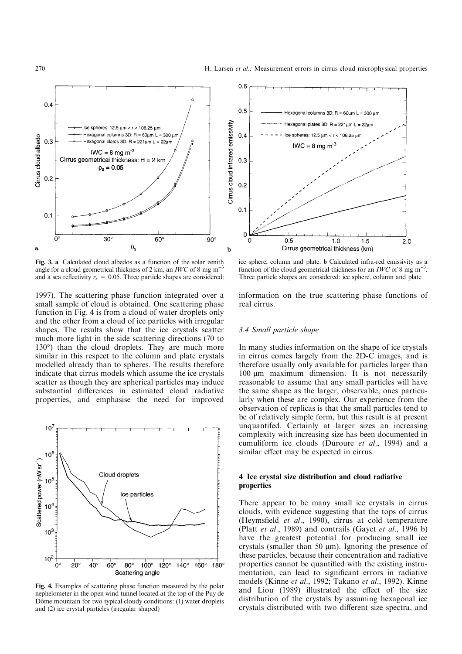

Fig. 3. a Calculated cloud albedos as a function of the solar zenith angle for a cloud geometrical thickness of 2 km, an  $IWC$  of 8 mg m<sup>-</sup> and a sea reflectivity  $r_s = 0.05$ . Three particle shapes are considered:

1997). The scattering phase function integrated over a small sample of cloud is obtained. One scattering phase function in Fig. 4 is from a cloud of water droplets only and the other from a cloud of ice particles with irregular shapes. The results show that the ice crystals scatter much more light in the side scattering directions (70 to 130°) than the cloud droplets. They are much more similar in this respect to the column and plate crystals modelled already than to spheres. The results therefore indicate that cirrus models which assume the ice crystals scatter as though they are spherical particles may induce substantial differences in estimated cloud radiative properties, and emphasise the need for improved



Fig. 4. Examples of scattering phase function measured by the polar nephelometer in the open wind tunnel located at the top of the Puy de Dôme mountain for two typical cloudy conditions: (1) water droplets and (2) ice crystal particles (irregular shaped)



ice sphere, column and plate. b Calculated infra-red emissivity as a function of the cloud geometrical thickness for an *IWC* of 8 mg m<sup> $-$ </sup> . Three particle shapes are considered: ice sphere, column and plate

information on the true scattering phase functions of real cirrus.

#### 3.4 Small particle shape

In many studies information on the shape of ice crystals in cirrus comes largely from the 2D-C images, and is therefore usually only available for particles larger than 100 µm maximum dimension. It is not necessarily reasonable to assume that any small particles will have the same shape as the larger, observable, ones particularly when these are complex. Our experience from the observation of replicas is that the small particles tend to be of relatively simple form, but this result is at present unquantifed. Certainly at larger sizes an increasing complexity with increasing size has been documented in cumuliform ice clouds (Duroure et al., 1994) and a similar effect may be expected in cirrus.

## 4 Ice crystal size distribution and cloud radiative properties

There appear to be many small ice crystals in cirrus clouds, with evidence suggesting that the tops of cirrus (Heymsfield et al., 1990), cirrus at cold temperature (Platt et al., 1989) and contrails (Gayet et al., 1996 b) have the greatest potential for producing small ice crystals (smaller than 50  $\mu$ m). Ignoring the presence of these particles, because their concentration and radiative properties cannot be quantified with the existing instrumentation, can lead to significant errors in radiative models (Kinne et al., 1992; Takano et al., 1992). Kinne and Liou (1989) illustrated the effect of the size distribution of the crystals by assuming hexagonal ice crystals distributed with two different size spectra, and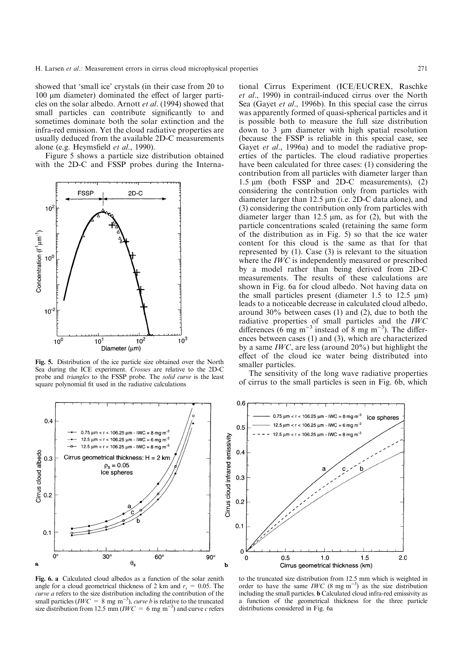showed that `small ice' crystals (in their case from 20 to  $100 \mu m$  diameter) dominated the effect of larger particles on the solar albedo. Arnott et al. (1994) showed that small particles can contribute significantly to and sometimes dominate both the solar extinction and the infra-red emission. Yet the cloud radiative properties are usually deduced from the available 2D-C measurements alone (e.g. Heymsfield et al., 1990).

Figure 5 shows a particle size distribution obtained with the 2D-C and FSSP probes during the Interna-



Fig. 5. Distribution of the ice particle size obtained over the North Sea during the ICE experiment. Crosses are relative to the 2D-C probe and triangles to the FSSP probe. The solid curve is the least square polynomial fit used in the radiative calculations



Fig. 6. a Calculated cloud albedos as a function of the solar zenith angle for a cloud geometrical thickness of 2 km and  $r_s = 0.05$ . The curve a refers to the size distribution including the contribution of the small particles (*IWC* = 8 mg m<sup>-3</sup>), *curve b* is relative to the truncated size distribution from 12.5 mm ( $\mathit{IWC} = 6$  mg m<sup>-3</sup>) and curve c refers

tional Cirrus Experiment (ICE/EUCREX, Raschke et al., 1990) in contrail-induced cirrus over the North Sea (Gayet *et al.*, 1996b). In this special case the cirrus was apparently formed of quasi-spherical particles and it is possible both to measure the full size distribution down to  $3 \mu m$  diameter with high spatial resolution (because the FSSP is reliable in this special case, see Gayet et al., 1996a) and to model the radiative properties of the particles. The cloud radiative properties have been calculated for three cases: (1) considering the contribution from all particles with diameter larger than 1.5  $\mu$ m (both FSSP and 2D-C measurements), (2) considering the contribution only from particles with diameter larger than 12.5  $\mu$ m (i.e. 2D-C data alone), and (3) considering the contribution only from particles with diameter larger than 12.5  $\mu$ m, as for (2), but with the particle concentrations scaled (retaining the same form of the distribution as in Fig. 5) so that the ice water content for this cloud is the same as that for that represented by (1). Case (3) is relevant to the situation where the *IWC* is independently measured or prescribed by a model rather than being derived from 2D-C measurements. The results of these calculations are shown in Fig. 6a for cloud albedo. Not having data on the small particles present (diameter 1.5 to 12.5  $\mu$ m) leads to a noticeable decrease in calculated cloud albedo, around 30% between cases (1) and (2), due to both the radiative properties of small particles and the IWC differences (6 mg m<sup>-3</sup> instead of 8 mg m<sup>-3</sup>). The differences between cases (1) and (3), which are characterized by a same IWC, are less (around 20%) but highlight the effect of the cloud ice water being distributed into smaller particles.

The sensitivity of the long wave radiative properties of cirrus to the small particles is seen in Fig. 6b, which



to the truncated size distribution from 12.5 mm which is weighted in order to have the same *IWC* (8 mg m<sup>-3</sup>) as the size distribution including the small particles. b Calculated cloud infra-red emissivity as a function of the geometrical thickness for the three particle distributions considered in Fig. 6a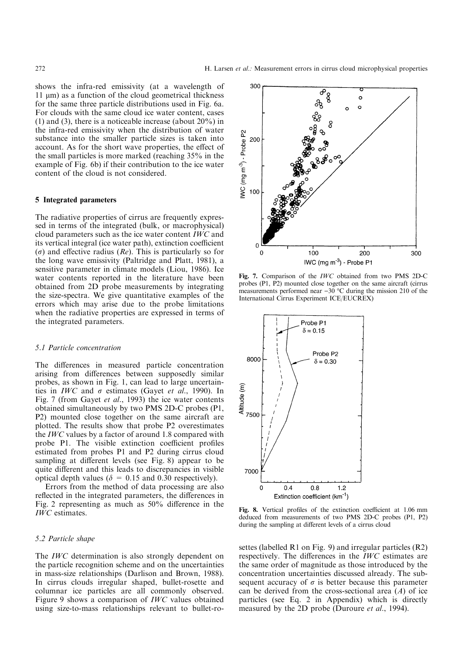shows the infra-red emissivity (at a wavelength of  $11 \mu m$ ) as a function of the cloud geometrical thickness for the same three particle distributions used in Fig. 6a. For clouds with the same cloud ice water content, cases (1) and (3), there is a noticeable increase (about 20%) in the infra-red emissivity when the distribution of water substance into the smaller particle sizes is taken into account. As for the short wave properties, the effect of the small particles is more marked (reaching 35% in the example of Fig. 6b) if their contribution to the ice water content of the cloud is not considered.

#### 5 Integrated parameters

The radiative properties of cirrus are frequently expressed in terms of the integrated (bulk, or macrophysical) cloud parameters such as the ice water content IWC and its vertical integral (ice water path), extinction coefficient  $(\sigma)$  and effective radius (Re). This is particularly so for the long wave emissivity (Paltridge and Platt, 1981), a sensitive parameter in climate models (Liou, 1986). Ice water contents reported in the literature have been obtained from 2D probe measurements by integrating the size-spectra. We give quantitative examples of the errors which may arise due to the probe limitations when the radiative properties are expressed in terms of the integrated parameters.

#### 5.1 Particle concentration

The differences in measured particle concentration arising from differences between supposedly similar probes, as shown in Fig. 1, can lead to large uncertainties in *IWC* and  $\sigma$  estimates (Gayet *et al.*, 1990). In Fig. 7 (from Gayet et al., 1993) the ice water contents obtained simultaneously by two PMS 2D-C probes (P1, P2) mounted close together on the same aircraft are plotted. The results show that probe P2 overestimates the IWC values by a factor of around 1.8 compared with probe P1. The visible extinction coefficient profiles estimated from probes P1 and P2 during cirrus cloud sampling at different levels (see Fig. 8) appear to be quite different and this leads to discrepancies in visible optical depth values ( $\delta = 0.15$  and 0.30 respectively).

Errors from the method of data processing are also reflected in the integrated parameters, the differences in Fig. 2 representing as much as  $50\%$  difference in the IWC estimates.

## 5.2 Particle shape

The *IWC* determination is also strongly dependent on the particle recognition scheme and on the uncertainties in mass-size relationships (Darlison and Brown, 1988). In cirrus clouds irregular shaped, bullet-rosette and columnar ice particles are all commonly observed. Figure 9 shows a comparison of IWC values obtained using size-to-mass relationships relevant to bullet-ro-



Fig. 7. Comparison of the IWC obtained from two PMS 2D-C probes (P1, P2) mounted close together on the same aircraft (cirrus measurements performed near  $-30$  °C during the mission 210 of the International Cirrus Experiment ICE/EUCREX)



Fig. 8. Vertical profiles of the extinction coefficient at 1.06 mm deduced from measurements of two PMS 2D-C probes (P1, P2) during the sampling at different levels of a cirrus cloud

settes (labelled R1 on Fig. 9) and irregular particles (R2) respectively. The differences in the  $IWC$  estimates are the same order of magnitude as those introduced by the concentration uncertainties discussed already. The subsequent accuracy of  $\sigma$  is better because this parameter can be derived from the cross-sectional area  $(A)$  of ice particles (see Eq. 2 in Appendix) which is directly measured by the 2D probe (Duroure *et al.*, 1994).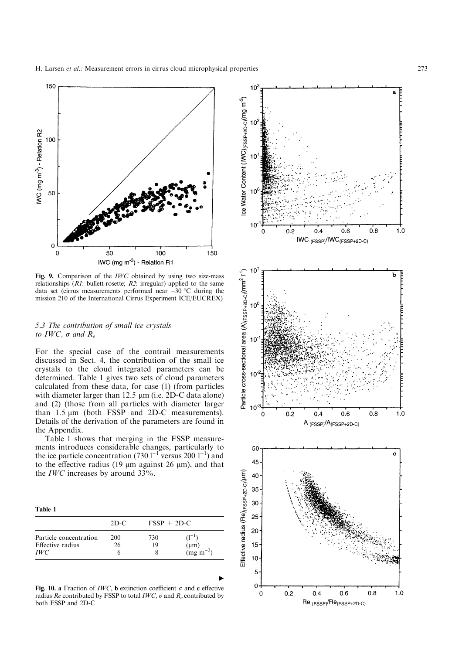H. Larsen *et al.*: Measurement errors in cirrus cloud microphysical properties 273



Fig. 9. Comparison of the IWC obtained by using two size-mass relationships  $(R1:$  bullett-rosette;  $R2:$  irregular) applied to the same data set (cirrus measurements performed near  $-30$  °C during the mission 210 of the International Cirrus Experiment ICE/EUCREX)

## 5.3 The contribution of small ice crystals to IWC,  $\sigma$  and  $R_e$

For the special case of the contrail measurements discussed in Sect. 4, the contribution of the small ice crystals to the cloud integrated parameters can be determined. Table 1 gives two sets of cloud parameters calculated from these data, for case (1) (from particles with diameter larger than  $12.5 \mu m$  (i.e.  $2D-C$  data alone) and (2) (those from all particles with diameter larger than  $1.5 \mu m$  (both FSSP and 2D-C measurements). Details of the derivation of the parameters are found in the Appendix.

Table 1 shows that merging in the FSSP measurements introduces considerable changes, particularly to the ice particle concentration (730  $1^{-1}$  versus 200  $1^{-1}$ ) and to the effective radius (19  $\mu$ m against 26  $\mu$ m), and that the *IWC* increases by around  $33\%$ .

Table 1

| Particle concentration | $2D-C$<br><b>200</b> | $FSSP + 2D-C$ |                                    |
|------------------------|----------------------|---------------|------------------------------------|
|                        |                      | 730           | $(1^{-1})$                         |
| Effective radius       | 26                   | 19            |                                    |
| <i>IWC</i>             |                      |               | $(\mu m)$<br>(mg m <sup>-3</sup> ) |

Fig. 10. a Fraction of *IWC*, b extinction coefficient  $\sigma$  and c effective radius Re contributed by FSSP to total IWC,  $\sigma$  and R<sub>e</sub> contributed by both FSSP and 2D-C

 $\blacktriangleright$ 

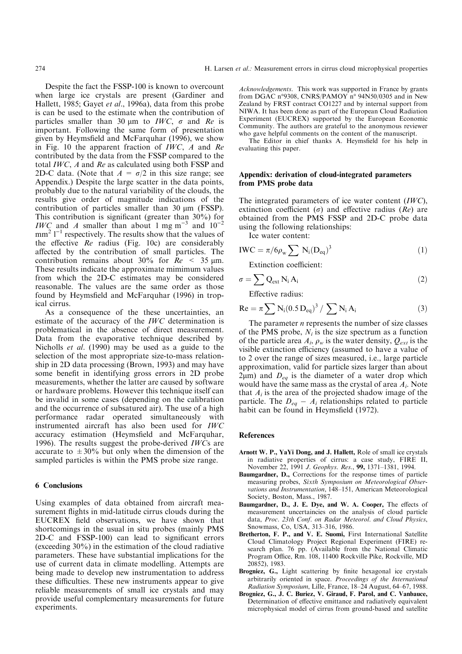Despite the fact the FSSP-100 is known to overcount when large ice crystals are present (Gardiner and Hallett, 1985; Gayet et al., 1996a), data from this probe is can be used to the estimate when the contribution of particles smaller than 30  $\mu$ m to *IWC*,  $\sigma$  and Re is important. Following the same form of presentation given by Heymsfield and McFarquhar (1996), we show in Fig. 10 the apparent fraction of IWC, A and Re contributed by the data from the FSSP compared to the total  $IWC$ , A and Re as calculated using both FSSP and 2D-C data. (Note that  $A = \sigma/2$  in this size range; see Appendix.) Despite the large scatter in the data points, probably due to the natural variability of the clouds, the results give order of magnitude indications of the contribution of particles smaller than  $30 \mu m$  (FSSP). This contribution is significant (greater than  $30\%$ ) for *IWC* and A smaller than about 1 mg m<sup>-3</sup> and  $10^{-2}$  $mm<sup>2</sup> 1<sup>-1</sup>$  respectively. The results show that the values of the effective  $Re$  radius (Fig. 10c) are considerably affected by the contribution of small particles. The contribution remains about 30% for  $Re < 35 \text{ µm}$ . These results indicate the approximate mimimum values from which the 2D-C estimates may be considered reasonable. The values are the same order as those found by Heymsfield and McFarquhar (1996) in tropical cirrus.

As a consequence of the these uncertainties, an estimate of the accuracy of the IWC determination is problematical in the absence of direct measurement. Data from the evaporative technique described by Nicholls et al. (1990) may be used as a guide to the selection of the most appropriate size-to-mass relationship in 2D data processing (Brown, 1993) and may have some benefit in identifying gross errors in 2D probe measurements, whether the latter are caused by software or hardware problems. However this technique itself can be invalid in some cases (depending on the calibration and the occurrence of subsatured air). The use of a high performance radar operated simultaneously with instrumented aircraft has also been used for IWC accuracy estimation (Heymsfield and McFarquhar, 1996). The results suggest the probe-derived IWCs are accurate to  $\pm 30\%$  but only when the dimension of the sampled particles is within the PMS probe size range.

#### 6 Conclusions

Using examples of data obtained from aircraft measurement flights in mid-latitude cirrus clouds during the EUCREX field observations, we have shown that shortcomings in the usual in situ probes (mainly PMS  $2D-C$  and  $FSSP-100$ ) can lead to significant errors (exceeding 30%) in the estimation of the cloud radiative parameters. These have substantial implications for the use of current data in climate modelling. Attempts are being made to develop new instrumentation to address these difficulties. These new instruments appear to give reliable measurements of small ice crystals and may provide useful complementary measurements for future experiments.

Acknowledgements. This work was supported in France by grants from DGAC n°9308, CNRS/PAMOY n° 94N50/0305 and in New Zealand by FRST contract CO1227 and by internal support from NIWA. It has been done as part of the European Cloud Radiation Experiment (EUCREX) supported by the European Economic Community. The authors are grateful to the anonymous reviewer who gave helpful comments on the content of the manuscript.

The Editor in chief thanks A. Heymsfield for his help in evaluating this paper.

#### Appendix: derivation of cloud-integrated parameters from PMS probe data

The integrated parameters of ice water content (IWC), extinction coefficient ( $\sigma$ ) and effective radius ( $Re$ ) are obtained from the PMS FSSP and 2D-C probe data using the following relationships:

Ice water content:

$$
IWC = \pi / 6\rho_w \sum N_i (D_{eq})^3
$$
 (1)

Extinction coefficient:

$$
\sigma = \sum Q_{ext} N_i A_i \tag{2}
$$

Effective radius:

$$
Re = \pi \sum N_i (0.5 D_{eq})^3 / \sum N_i A_i
$$
 (3)

The parameter  $n$  represents the number of size classes of the PMS probe,  $N_i$  is the size spectrum as a function of the particle area  $A_i$ ,  $\rho_w$  is the water density,  $Q_{ext}$  is the visible extinction efficiency (assumed to have a value of to 2 over the range of sizes measured, i.e., large particle approximation, valid for particle sizes larger than about  $2\mu$ m) and  $D_{eq}$  is the diameter of a water drop which would have the same mass as the crystal of area  $A_i$ . Note that  $A_i$  is the area of the projected shadow image of the particle. The  $D_{eq} - A_i$  relationships related to particle habit can be found in Heymsfield (1972).

#### References

- Arnott W. P., YaYi Dong, and J. Hallett, Role of small ice crystals in radiative properties of cirrus: a case study, FIRE II, November 22, 1991 J. Geophys. Res., 99, 1371-1381, 1994.
- Baumgardner, D., Corrections for the response times of particle measuring probes, Sixth Symposium on Meteorological Observations and Instrumentation, 148-151, American Meteorological Society, Boston, Mass., 1987.
- Baumgardner, D., J. E. Dye, and W. A. Cooper, The effects of measurement uncertaincies on the analysis of cloud particle data, Proc. 23th Conf. on Radar Meteorol. and Cloud Physics, Snowmass, Co, USA, 313-316, 1986.
- Bretherton, F. P., and V. E. Suomi, First International Satellite Cloud Climatology Project Regional Experiment (FIRE) research plan. 76 pp. (Available from the National Climatic Program Office, Rm. 108, 11400 Rockville Pike, Rockville, MD 20852), 1983.
- Brogniez, G., Light scattering by finite hexagonal ice crystals arbitrarily oriented in space. Proceedings of the International Radiation Symposium, Lille, France, 18-24 August, 64-67, 1988.
- Brogniez, G., J. C. Buriez, V. Giraud, F. Parol, and C. Vanbauce, Determination of effective emittance and radiatively equivalent microphysical model of cirrus from ground-based and satellite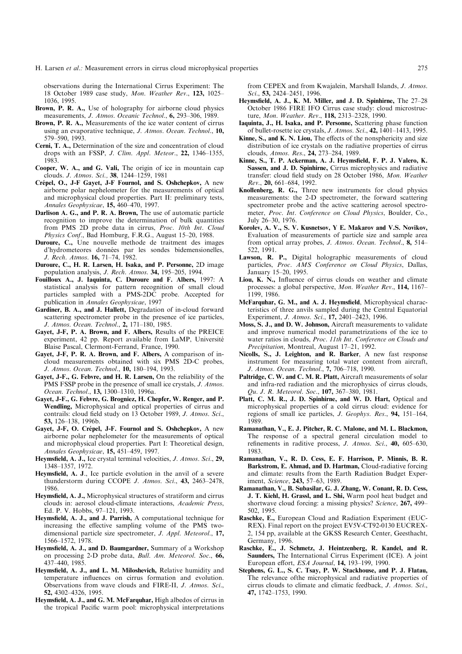observations during the International Cirrus Experiment: The 18 October 1989 case study, Mon. Weather Rev., 123, 1025-1036, 1995.

- Brown, P. R. A., Use of holography for airborne cloud physics measurements, J. Atmos. Oceanic Technol., 6, 293-306, 1989.
- Brown, P. R. A., Measurements of the ice water content of cirrus using an evaporative technique, J. Atmos. Ocean. Technol., 10, 579±590, 1993.
- Cerni, T. A., Determination of the size and concentration of cloud drops with an FSSP, J. Clim. Appl. Meteor.,  $22$ ,  $1346-1355$ , 1983.
- Cooper, W. A., and G. Vali, The origin of ice in mountain cap clouds. J. Atmos. Sci., 38, 1244-1259, 1981
- Crépel, O., J-F Gayet, J-F Fournol, and S. Oshchepkov, A new airborne polar nephelometer for the measurements of optical and microphysical cloud properties. Part II: preliminary tests, Annales Geophysicae, 15, 460-470, 1997.
- Darlison A. G., and P. R. A. Brown, The use of automatic particle recognition to improve the determination of bulk quantities from PMS 2D probe data in cirrus, Proc. 10th Int. Cloud Physics Conf., Bad Homburg, F.R.G., August 15-20, 1988.
- Duroure, C., Une nouvelle methode de traitment des images d'hydrometeores données par les sondes bidemensionelles, J. Rech. Atmos. 16, 71-74, 1982.
- Duroure, C., H. R. Larsen, H. Isaka, and P. Personne, 2D image population analysis, *J. Rech. Atmos.* **34,** 195 $-205$ , 1994.
- Fouilloux A., J. Iaquinta, C. Duroure and F. Albers, 1997: A statistical analysis for pattern recognition of small cloud particles sampled with a PMS-2DC probe. Accepted for publication in Annales Geophysicae, 1997
- Gardiner, B. A., and J. Hallett, Degradation of in-cloud forward scattering spectrometer probe in the presence of ice particles, J. Atmos. Ocean. Technol., 2, 171-180, 1985.
- Gayet, J-F, P. A. Brown, and F. Albers, Results of the PREICE experiment, 42 pp. Report available from LaMP, Université Blaise Pascal, Clermont-Ferrand, France, 1990.
- Gayet, J-F, P. R. A. Brown, and F. Albers, A comparison of incloud measurements obtained with six PMS 2D-C probes, J. Atmos. Ocean. Technol., 10, 180-194, 1993.
- Gayet, J-F., G. Febvre, and H. R. Larsen, On the reliability of the PMS FSSP probe in the presence of small ice crystals, *J. Atmos.* Ocean. Technol., 13, 1300-1310, 1996a.
- Gayet, J-F., G. Febvre, G. Brogniez, H. Chepfer, W. Renger, and P. Wendling, Microphysical and optical properties of cirrus and contrails: cloud field study on 13 October 1989, J. Atmos. Sci., 53, 126-138, 1996b.
- Gayet, J-F, O. Crépel, J-F. Fournol and S. Oshchepkov, A new airborne polar nephelometer for the measurements of optical and microphysical cloud properties. Part I: Theoretical design, Annales Geophysicae, 15, 451-459, 1997.
- Heymsfield, A. J., Ice crystal terminal velocities, J. Atmos. Sci., 29, 1348±1357, 1972.
- Heymsfield, A. J., Ice particle evolution in the anvil of a severe thunderstorm during CCOPE J. Atmos. Sci.,  $43$ ,  $2463-2478$ , 1986.
- Heymsfield, A. J., Microphysical structures of stratiform and cirrus clouds in: aerosol cloud-climate interactions, Academic Press, Ed. P. V. Hobbs, 97-121, 1993.
- Heymsfield, A. J., and J. Parrish, A computational technique for increasing the effective sampling volume of the PMS twodimensional particle size spectrometer, J. Appl. Meteorol., 17, 1566±1572, 1978.
- Heymsfield, A. J., and D. Baumgardner, Summary of a Workshop on processing 2-D probe data, Bull. Am. Meteorol. Soc., 66, 437±440, 1985.
- Heymsfield, A. J., and L. M. Miloshevich, Relative humidity and temperature influences on cirrus formation and evolution. Observations from wave clouds and FIRE-II, J. Atmos. Sci., 52, 4302-4326, 1995.
- Heymsfield, A. J., and G. M. McFarquhar, High albedos of cirrus in the tropical Pacific warm pool: microphysical interpretations

from CEPEX and from Kwajalein, Marshall Islands, J. Atmos. Sci., 53, 2424-2451, 1996.

- Heymsfield, A. J., K. M. Miller, and J. D. Spinhirne, The  $27-28$ October 1986 FIRE IFO Cirrus case study: cloud microstructure, Mon. Weather. Rev., 118, 2313-2328, 1990.
- Iaquinta, J., H. Isaka, and P. Personne, Scattering phase function of bullet-rosette ice crystals, *J. Atmos. Sci.*,  $42$ , 1401–1413, 1995.
- Kinne, S., and K. N. Liou, The effects of the nonsphericity and size distribution of ice crystals on the radiative properties of cirrus clouds, Atmos. Res., 24, 273-284, 1989.
- Kinne, S., T. P. Ackerman, A. J. Heymsfield, F. P. J. Valero, K. Sassen, and J. D. Spinhirne, Cirrus microphysics and radiative transfer: cloud field study on 28 October 1986, Mon. Weather Rev., 20, 661-684, 1992.
- Knollenberg, R. G., Three new instruments for cloud physics measurements: the 2-D spectrometer, the forward scattering spectrometer probe and the active scattering aerosol spectrometer, Proc. Int. Conference on Cloud Physics, Boulder, Co., July 26-30, 1976.
- Korolev, A. V., S. V. Kusnetsov, Y E. Makarov and V.S. Novikov, Evaluation of measurements of particle size and sample area from optical array probes, J. Atmos. Ocean. Technol., 8, 514-522, 1991.
- Lawson, R. P., Digital holographic measurements of cloud particles, Proc. AMS Conference on Cloud Physics, Dallas, January 15-20, 1995.
- Liou, K. N., Influence of cirrus clouds on weather and climate processes: a global perspective, Mon. Weather Rev., 114, 1167-1199, 1986.
- McFarquhar, G. M., and A. J. Heymsfield, Microphysical characteristics of three anvils sampled during the Central Equatorial Experiment, J. Atmos. Sci., 17, 2401-2423, 1996.
- Moss, S. J., and D. W. Johnson, Aircraft measurements to validate and improve numerical model parametrizations of the ice to water ratios in clouds, Proc. 11th Int. Conference on Clouds and Precipitation, Montreal, August 17-21, 1992.
- Nicolls, S., J. Leighton, and R. Barker, A new fast response instrument for measuring total water content from aircraft, J. Atmos. Ocean. Technol., 7, 706-718, 1990.
- Paltridge, C. W. and C. M. R. Platt, Aircraft measurements of solar and infra-red radiation and the microphysics of cirrus clouds, Qu. J. R. Meteorol. Soc., 107, 367-380, 1981.
- Platt, C. M. R., J. D. Spinhirne, and W. D. Hart, Optical and microphysical properties of a cold cirrus cloud: evidence for regions of small ice particles,  $J. Geophys. Res., 94, 151–164,$ 1989.
- Ramanathan, V., E. J. Pitcher, R. C. Malone, and M. L. Blackmon, The response of a spectral general circulation model to refinements in raditive process,  $J.$  Atmos. Sci., 40, 605-630, 1983.
- Ramanathan, V., R. D. Cess, E. F. Harrison, P. Minnis, B. R. Barkstrom, E. Ahmad, and D. Hartman, Cloud-radiative forcing and climate: results from the Earth Radiation Budget Experiment, Science, 243, 57-63, 1989.
- Ramanathan, V., B. Subasilar, G. J. Zhang, W. Conant, R. D. Cess, J. T. Kiehl, H. Grassl, and L. Shi, Warm pool heat budget and shortwave cloud forcing: a missing physics? Science, 267, 499-502, 1995.
- Raschke, E., European Cloud and Radiation Experiment (EUC-REX). Final report on the project EV5V-CT92-0130 EUCREX-2, 154 pp, available at the GKSS Research Center, Geesthacht, Germany, 1996.
- Raschke, E., J. Schmetz, J. Heintzenberg, R. Kandel, and R. Saunders, The International Cirrus Experiment (ICE). A joint European effort, ESA Journal, 14, 193-199, 1990.
- Stephens, G. L., S. C. Tsay, P. W. Stackhouse, and P. J. Flatau, The relevance ofthe microphysical and radiative properties of cirrus clouds to climate and climatic feedback, J. Atmos. Sci., 47, 1742±1753, 1990.